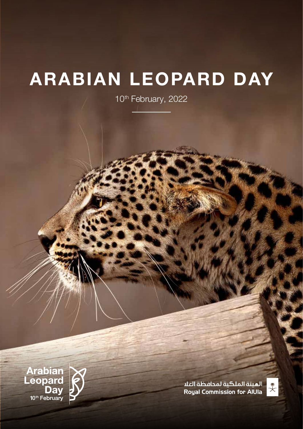## **ARABIAN LEOPARD DAY**

10<sup>th</sup> February, 2022

الميئة الملكية لمحافظة العلا **Royal Commission for AIUIa** 



**Arabian<br>Leopard** Day<sup>-</sup><br><sup>10<sup>th</sup> February</sup>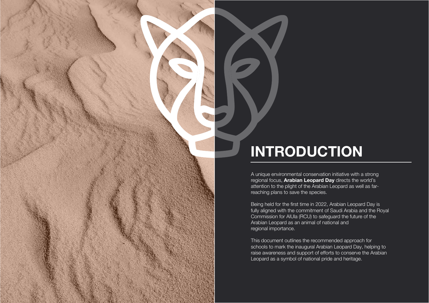# **INTRODUCTION**

A unique environmental conservation initiative with a strong regional focus, **Arabian Leopard Day** directs the world's attention to the plight of the Arabian Leopard as well as farreaching plans to save the species.

Being held for the first time in 2022, Arabian Leopard Day is fully aligned with the commitment of Saudi Arabia and the Royal Commission for AlUla (RCU) to safeguard the future of the Arabian Leopard as an animal of national and regional importance.

This document outlines the recommended approach for schools to mark the inaugural Arabian Leopard Day, helping to raise awareness and support of efforts to conserve the Arabian Leopard as a symbol of national pride and heritage.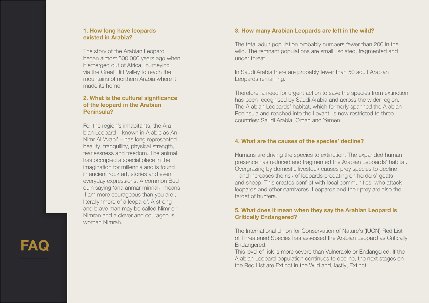**FAQ** 

#### **1. How long have leopards existed in Arabia?**

The story of the Arabian Leopard began almost 500,000 years ago when it emerged out of Africa, journeying via the Great Rift Valley to reach the mountains of northern Arabia where it made its home.

#### **2. What is the cultural significance of the leopard in the Arabian Peninsula?**

For the region's inhabitants, the Ara bian Leopard – known in Arabic as An Nimr Al 'Arabi' – has long represented beauty, tranquillity, physical strength, fearlessness and freedom. The animal has occupied a special place in the imagination for millennia and is found in ancient rock art, stories and even everyday expressions. A common Bed ouin saying 'ana anmar minnak' means 'I am more courageous than you are'; literally 'more of a leopard'. A strong and brave man may be called Nimr or Nimran and a clever and courageous woman Nimrah.

#### **3. How many Arabian Leopards are left in the wild?**

The total adult population probably numbers fewer than 200 in the wild. The remnant populations are small, isolated, fragmented and under threat.

In Saudi Arabia there are probably fewer than 50 adult Arabian Leopards remaining.

Therefore, a need for urgent action to save the species from extinction has been recognised by Saudi Arabia and across the wider region. The Arabian Leopards' habitat, which formerly spanned the Arabian Peninsula and reached into the Levant, is now restricted to three countries: Saudi Arabia, Oman and Yemen.

#### **4. What are the causes of the species' decline?**

Humans are driving the species to extinction. The expanded human presence has reduced and fragmented the Arabian Leopards' habitat. Overgrazing by domestic livestock causes prey species to decline – and increases the risk of leopards predating on herders' goats and sheep. This creates conflict with local communities, who attack leopards and other carnivores. Leopards and their prey are also the target of hunters.

#### **5. What does it mean when they say the Arabian Leopard is Critically Endangered?**

The International Union for Conservation of Nature's (IUCN) Red List of Threatened Species has assessed the Arabian Leopard as Critically Endangered.

This level of risk is more severe than Vulnerable or Endangered. If the Arabian Leopard population continues to decline, the next stages on the Red List are Extinct in the Wild and, lastly, Extinct.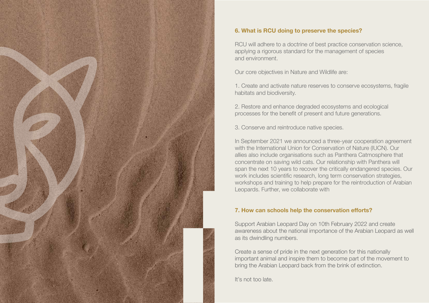

### **6. What is RCU doing to preserve the species?**

RCU will adhere to a doctrine of best practice conservation science, applying a rigorous standard for the management of species and environment.

Our core objectives in Nature and Wildlife are:

1. Create and activate nature reserves to conserve ecosystems, fragile habitats and biodiversity.

2. Restore and enhance degraded ecosystems and ecological processes for the benefit of present and future generations.

3. Conserve and reintroduce native species.

In September 2021 we announced a three-year cooperation agreement with the International Union for Conservation of Nature (IUCN). Our allies also include organisations such as Panthera Catmosphere that concentrate on saving wild cats. Our relationship with Panthera will span the next 10 years to recover the critically endangered species. Our work includes scientific research, long term conservation strategies, workshops and training to help prepare for the reintroduction of Arabian Leopards. Further, we collaborate with

#### **7. How can schools help the conservation efforts?**

Support Arabian Leopard Day on 10th February 2022 and create awareness about the national importance of the Arabian Leopard as well as its dwindling numbers.

Create a sense of pride in the next generation for this nationally important animal and inspire them to become part of the movement to bring the Arabian Leopard back from the brink of extinction.

It's not too late.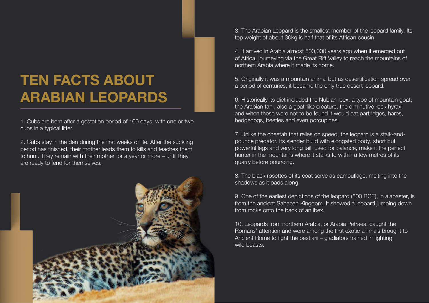## **TEN FACTS ABOUT ARABIAN LEOPARDS**

1. Cubs are born after a gestation period of 100 days, with one or two cubs in a typical litter.

2. Cubs stay in the den during the first weeks of life. After the suckling period has finished, their mother leads them to kills and teaches them to hunt. They remain with their mother for a year or more – until they are ready to fend for themselves.



3. The Arabian Leopard is the smallest member of the leopard family. Its top weight of about 30kg is half that of its African cousin.

4. It arrived in Arabia almost 500,000 years ago when it emerged out of Africa, journeying via the Great Rift Valley to reach the mountains of northern Arabia where it made its home.

5. Originally it was a mountain animal but as desertification spread over a period of centuries, it became the only true desert leopard.

10. Leopards from northern Arabia, or Arabia Petraea, caught the Romans' attention and were among the first exotic animals brought to Ancient Rome to fight the bestiarii – gladiators trained in fighting wild beasts.

6. Historically its diet included the Nubian ibex, a type of mountain goat; the Arabian tahr, also a goat-like creature; the diminutive rock hyrax; and when these were not to be found it would eat partridges, hares, hedgehogs, beetles and even porcupines.

7. Unlike the cheetah that relies on speed, the leopard is a stalk-andpounce predator. Its slender build with elongated body, short but powerful legs and very long tail, used for balance, make it the perfect hunter in the mountains where it stalks to within a few metres of its quarry before pouncing.

8. The black rosettes of its coat serve as camouflage, melting into the shadows as it pads along.

9. One of the earliest depictions of the leopard (500 BCE), in alabaster, is from the ancient Sabaean Kingdom. It showed a leopard jumping down from rocks onto the back of an ibex.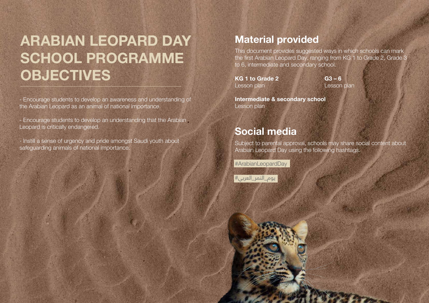# **ARABIAN LEOPARD DAY SCHOOL PROGRAMME OBJECTIVES**

- Encourage students to develop an awareness and understanding of the Arabian Leopard as an animal of national importance.

- Encourage students to develop an understanding that the Arabian Leopard is critically endangered.

- Instill a sense of urgency and pride amongst Saudi youth about safeguarding animals of national importance.

This document provides suggested ways in which schools can mark the first Arabian Leopard Day, ranging from KG 1 to Grade 2, Grade 3 to 6, intermediate and secondary school.

**KG 1 to Grade 2** Lesson plan

**Intermediate & secondary school**  Lesson plan

Subject to parental approval, schools may share social content about Arabian Leopard Day using the following hashtags.

#ArabianLeopardDay

يوم\_النمر\_العربي#



### **Material provided**

### **Social media**

**G3 – 6** Lesson plan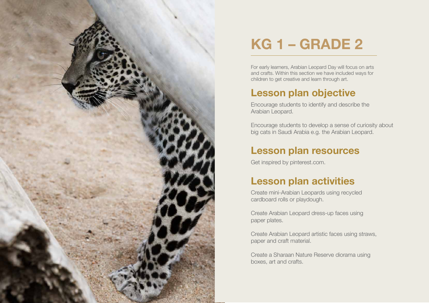

# **KG 1 – GRADE 2**

For early learners, Arabian Leopard Day will focus on arts and crafts. Within this section we have included ways for children to get creative and learn through art.

Encourage students to identify and describe the Arabian Leopard.

Encourage students to develop a sense of curiosity about big cats in Saudi Arabia e.g. the Arabian Leopard.

Get inspired by pinterest.com.

Create mini-Arabian Leopards using recycled cardboard rolls or playdough.

Create Arabian Leopard dress-up faces using paper plates.

Create Arabian Leopard artistic faces using straws, paper and craft material.

Create a Sharaan Nature Reserve diorama using boxes, art and crafts.



### **Lesson plan objective**

### **Lesson plan resources**

## **Lesson plan activities**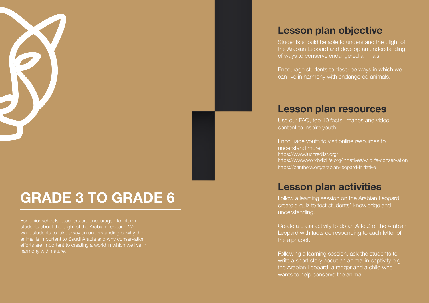

## **GRADE 3 TO GRADE 6**

For junior schools, teachers are encouraged to inform students about the plight of the Arabian Leopard. We want students to take away an understanding of why the animal is important to Saudi Arabia and why conservation efforts are important to creating a world in which we live in harmony with nature.

Students should be able to understand the plight of the Arabian Leopard and develop an understanding of ways to conserve endangered animals.

Encourage students to describe ways in which we can live in harmony with endangered animals.

Use our FAQ, top 10 facts, images and video content to inspire youth.

Encourage youth to visit online resources to understand more: https://www.iucnredlist.org/ https://www.worldwildlife.org/initiatives/wildlife-conservation https://panthera.org/arabian-leopard-initiative

Follow a learning session on the Arabian Leopard, create a quiz to test students' knowledge and understanding.

Create a class activity to do an A to Z of the Arabian Leopard with facts corresponding to each letter of the alphabet.

Following a learning session, ask the students to write a short story about an animal in captivity e.g. the Arabian Leopard, a ranger and a child who wants to help conserve the animal.

### **Lesson plan objective**

### **Lesson plan resources**

### **Lesson plan activities**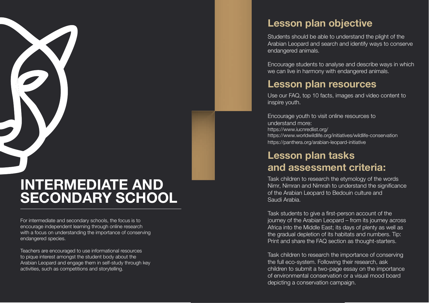## **INTERMEDIATE AND SECONDARY SCHOOL**

For intermediate and secondary schools, the focus is to encourage independent learning through online research with a focus on understanding the importance of conserving endangered species.

Teachers are encouraged to use informational resources to pique interest amongst the student body about the Arabian Leopard and engage them in self-study through key activities, such as competitions and storytelling.

Students should be able to understand the plight of the Arabian Leopard and search and identify ways to conserve endangered animals.

Encourage students to analyse and describe ways in which we can live in harmony with endangered animals.

Use our FAQ, top 10 facts, images and video content to inspire youth.

Encourage youth to visit online resources to understand more: https://www.iucnredlist.org/ https://www.worldwildlife.org/initiatives/wildlife-conservation https://panthera.org/arabian-leopard-initiative

Task children to research the etymology of the words Nimr, Nimran and Nimrah to understand the significance of the Arabian Leopard to Bedouin culture and Saudi Arabia.

Task students to give a first-person account of the journey of the Arabian Leopard – from its journey across Africa into the Middle East; its days of plenty as well as the gradual depletion of its habitats and numbers. Tip: Print and share the FAQ section as thought-starters.

Task children to research the importance of conserving the full eco-system. Following their research, ask children to submit a two-page essay on the importance of environmental conservation or a visual mood board depicting a conservation campaign.

## **Lesson plan objective**

### **Lesson plan resources**

### **Lesson plan tasks and assessment criteria:**